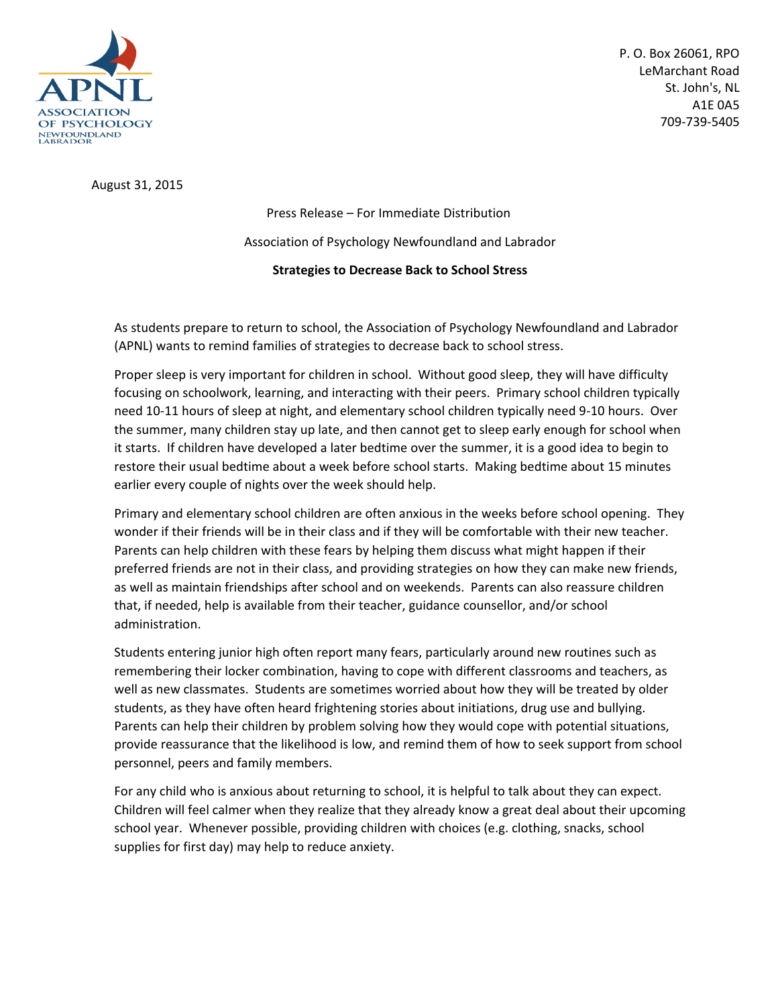

P. O. Box 26061, RPO LeMarchant Road St. John's, NL A1E 0A5 709-739-5405

August 31, 2015

Press Release – For Immediate Distribution Association of Psychology Newfoundland and Labrador **Strategies to Decrease Back to School Stress**

As students prepare to return to school, the Association of Psychology Newfoundland and Labrador (APNL) wants to remind families of strategies to decrease back to school stress.

Proper sleep is very important for children in school. Without good sleep, they will have difficulty focusing on schoolwork, learning, and interacting with their peers. Primary school children typically need 10-11 hours of sleep at night, and elementary school children typically need 9-10 hours. Over the summer, many children stay up late, and then cannot get to sleep early enough for school when it starts. If children have developed a later bedtime over the summer, it is a good idea to begin to restore their usual bedtime about a week before school starts. Making bedtime about 15 minutes earlier every couple of nights over the week should help.

Primary and elementary school children are often anxious in the weeks before school opening. They wonder if their friends will be in their class and if they will be comfortable with their new teacher. Parents can help children with these fears by helping them discuss what might happen if their preferred friends are not in their class, and providing strategies on how they can make new friends, as well as maintain friendships after school and on weekends. Parents can also reassure children that, if needed, help is available from their teacher, guidance counsellor, and/or school administration.

Students entering junior high often report many fears, particularly around new routines such as remembering their locker combination, having to cope with different classrooms and teachers, as well as new classmates. Students are sometimes worried about how they will be treated by older students, as they have often heard frightening stories about initiations, drug use and bullying. Parents can help their children by problem solving how they would cope with potential situations, provide reassurance that the likelihood is low, and remind them of how to seek support from school personnel, peers and family members.

For any child who is anxious about returning to school, it is helpful to talk about they can expect. Children will feel calmer when they realize that they already know a great deal about their upcoming school year. Whenever possible, providing children with choices (e.g. clothing, snacks, school supplies for first day) may help to reduce anxiety.